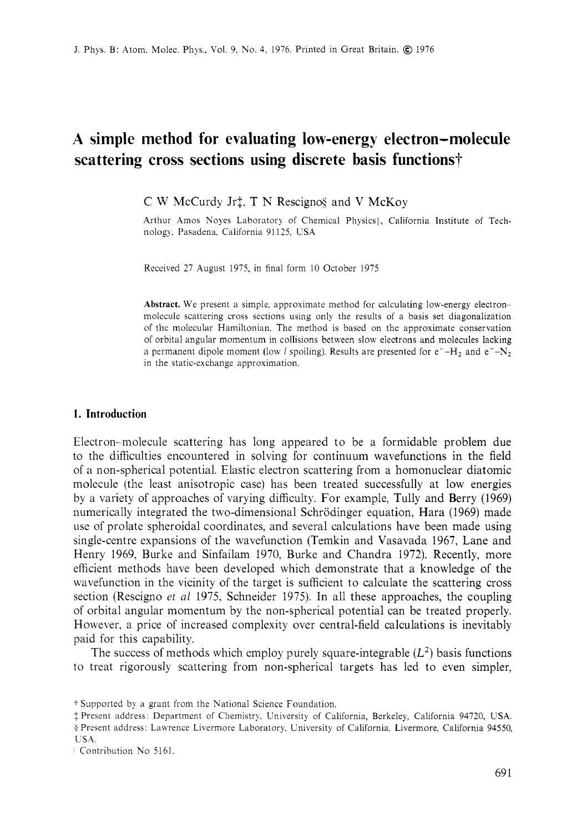# **A simple method for evaluating low-energy electron-molecule scattering cross sections using discrete basis functions?**

 $\overline{C}$  W McCurdy Jr<sup>†</sup>, T N Rescigno§ and V McKoy

Arthur Amos Noyes Laboratory of Chemical Physics ||, California Institute of Technology. Pasadena. California 91 125. USA

Received 27 August 1975, in final form 10 October 1975

**Abstract.** We present a simple, approximate method for calculating low-energy electronmolecule scattering cross sections using only the results of a basis set diagonalization of the molecular Hamiltonian. The method is based on the approximate conservation of orbital angular momentum in collisions between slow electrons and molecules lacking a permanent dipole moment (low *l* spoiling). Results are presented for  $e^- - H_2$  and  $e^- - N_2$ in the static-exchange approximation.

# **1. Introduction**

Electron-molecule scattering has long appeared to be a formidable problem due to the difficulties encountered in solving for continuum wavefunctions in the field of a non-spherical potential. Elastic electron scattering from a homonuclear diatomic molecule (the least anisotropic case) has been treated successfully at low energies by a variety of approaches of varying difficulty. For example, Tully and Berry (1969) numerically integrated the two-dimensional Schrodinger equation, Hara (1969) made use of prolate spheroidal coordinates, and several calculations have been made using single-centre expansions of the wavefunction (Temkin and Vasavada 1967, Lane and Henry 1969, Burke and Sinfailam 1970, Burke and Chandra 1972). Recently, more efficient methods have been developed which demonstrate that a knowledge of the wavefunction in the vicinity of the target is sufficient to calculate the scattering cross section (Rescigno *et al* 1975, Schneider 1975). In all these approaches, the coupling of orbital angular momentum by the non-spherical potential can be treated properly. However, a price of increased complexity over central-field calculations is inevitably paid for this capability.

The success of methods which employ purely square-integrable  $(L^2)$  basis functions to treat rigorously scattering from non-spherical targets has led to even simpler,

§ Present address: Lawrence Livermore Laboratory, University of California, Livermore, California 94550, USA.

i. Supported by a grant from the National Science Foundation.

<sup>\$</sup> Present address: Department of Chemistry, University of California, Berkeley, California 94720, USA.

Contribution No 5161.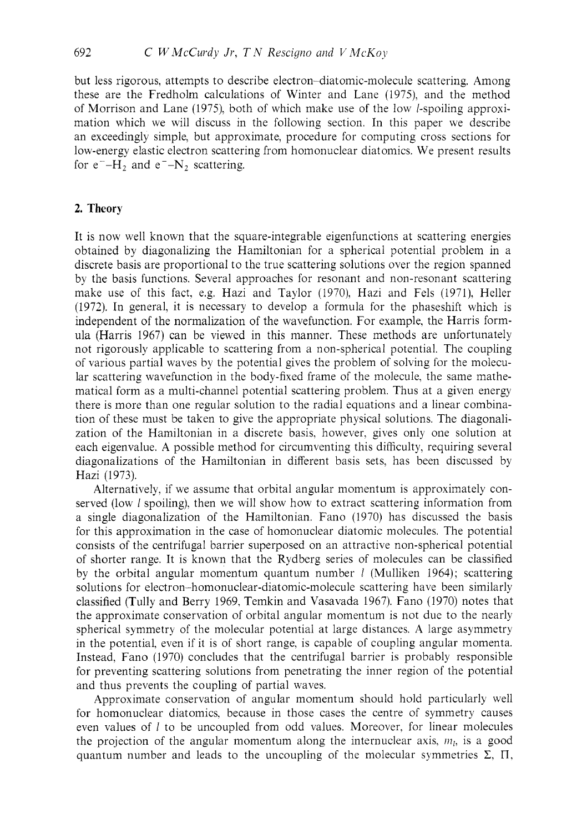but less rigorous, attempts to describe electron-diatomic-molecule scattering. Among these are the Fredholm calculations of Winter and Lane (1975), and the method of Morrison and Lane (1975), both of which make use of the low /-spoiling approximation which we will discuss in the following section. In this paper we describe an exceedingly simple, but approximate, procedure for computing cross sections for low-energy elastic electron scattering from homonuclear diatomics. We present results for  $e^-$ -H<sub>2</sub> and  $e^-$ -N<sub>2</sub> scattering.

# **2. Theory**

It is now well known that the square-integrable eigenfunctions at scattering energies obtained by diagonalizing the Hamiltonian for a spherical potential problem in a discrete basis are proportional to the true scattering solutions over the region spanned by the basis functions. Several approaches for resonant and non-resonant scattering make use of this fact, e.g. Hazi and Taylor (1970), Hazi and Fels (1971), Heller (1972). In general, it is necessary to develop a formula for the phaseshift which is independent of the normalization of the wavefunction. For example, the Harris formula (Harris 1967) can be viewed in this manner. These methods are unfortunately not rigorously applicable to scattering from a non-spherical potential. The coupling of various partial waves bj the potential gives the problem of solving for the molecular scattering wavefunction in the body-fixed frame of the molecule, the same mathematical form as a multi-channel potential scattering problem. Thus at a given energy there is more than one regular solution to the radial equations and a linear combination of these must be taken to give the appropriate physical solutions. The diagonalization of the Hamiltonian in a discrete basis, however, gives only one solution at each eigenvalue. A possible method for circumventing this difficulty, requiring several diagonalizations of the Hamiltonian in different basis sets, has been discussed by Hazi (1973).

Alternatively, if we assume that orbital angular momentum is approximately conserved (low 1 spoiling). then we will show how to extract scattering information from a single diagonalization of the Hamiltonian. Fano (1970) has discussed the basis for this approximation in the case of homonuclear diatomic molecules. The potential consists of the centrifugal barrier superposed on an attractive non-spherical potential of shorter range. It is known that the Rydberg series of molecules can be classified by the orbital angular momentum quantum number *I* (Mulliken 1964); scattering solutions for electron-homonuclear-diatomic-molecule scattering have been similarly classified (Tully and Berry 1969, Temkin and Vasavada 1967). Fano (1970) notes that the approximate conservation of orbital angular momentum is not due to the nearly spherical symmetry of the molecular potential at large distances. A large asymmetry in the potential, even if it is of short range, is capable of coupling angular momenta. Instead, Fano (1970) concludes that the centrifugal barrier is probably responsible for preventing scattering solutions from penetrating the inner region of the potential and thus prevents the coupling of partial waves.

Approximate conservation of angular momentum should hold particularly well for homonuclear diatomics. because in those cases the centre of symmetry causes even values of  $l$  to be uncoupled from odd values. Moreover, for linear molecules the projection of the angular momentum along the internuclear axis,  $m_i$ , is a good quantum number and leads to the uncoupling of the molecular symmetries  $\Sigma$ ,  $\Pi$ ,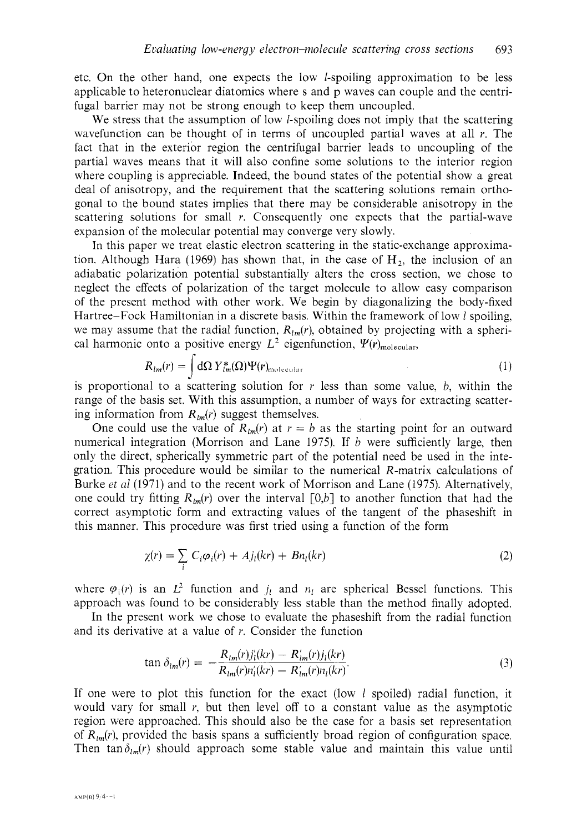etc. On the other hand, one expects the low I-spoiling approximation to be less applicable to heteronuclear diatomics where s and p waves can couple and the centrifugal barrier may not be strong enough to keep them uncoupled.

We stress that the assumption of low *l*-spoiling does not imply that the scattering wavefunction can be thought of in terms of uncoupled partial waves at all *r.* The fact that in the exterior region the centrifugal barrier leads to uncoupling of the partial waves means that it will also confine some solutions to the interior region where coupling is appreciable. Indeed, the bound states of the potential show a great deal of anisotropy, and the requirement that the scattering solutions remain orthogonal to the bound states implies that there may be considerable anisotropy in the scattering solutions for small *r.* Consequently one expects that the partial-wave expansion of the molecular potential may converge very slowly.

In this paper we treat elastic electron scattering in the static-exchange approximation. Although Hara (1969) has shown that, in the case of  $H_2$ , the inclusion of an adiabatic polarization potential substantially alters the cross section, we chose to neglect the effects of polarization of the target molecule to allow easy comparison of the present method with other work. We begin by diagonalizing the body-fixed Hartree-Fock Hamiltonian in a discrete basis. Within the framework of low *1* spoiling, we may assume that the radial function,  $R_{lm}(r)$ , obtained by projecting with a spherical harmonic onto a positive energy  $L^2$  eigenfunction,  $\Psi(r)_{\text{molecular}}$ 

$$
R_{lm}(r) = \int d\Omega Y_{lm}^*(\Omega)\Psi(r)_{\text{molecular}}
$$
  
is proportional to a scattering solution for r less than some value, b, within the

range of the basis set. With this assumption, a number of ways for extracting scattering information from  $R_{lm}(r)$  suggest themselves.

One could use the value of  $R_{lm}(r)$  at  $r = b$  as the starting point for an outward numerical integration (Morrison and Lane 1975). If *b* were sufficiently large, then only the direct, spherically symmetric part of the potential need be used in the integration. This procedure would be similar to the numerical R-matrix calculations of Burke *et al* (1971) and to the recent work of Morrison and Lane (1975). Alternatively, one could try fitting  $R_{lm}(r)$  over the interval  $[0,b]$  to another function that had the correct asymptotic form and extracting values of the tangent of the phaseshift in this manner. This procedure was first tried using a function of the form

$$
\chi(r) = \sum_{i} C_i \varphi_i(r) + A j_i(kr) + B n_i(kr) \tag{2}
$$

where  $\varphi_1(r)$  is an  $L^2$  function and  $j_l$  and  $n_l$  are spherical Bessel functions. This approach was found to be considerably less stable than the method finally adopted.

In the present work we chose to evaluate the phaseshift from the radial function and its derivative at a value of *r.* Consider the function

$$
\tan \delta_{lm}(r) = -\frac{R_{lm}(r)j'_l(kr) - R'_{lm}(r)j_l(kr)}{R_{lm}(r)n'_l(kr) - R'_{lm}(r)n_l(kr)}.
$$
\n(3)

If one were to plot this function for the exact (low *1* spoiled) radial function, it would vary for small *I,* but then level off to a constant value as the asymptotic region were approached. This should also be the case for a basis set representation of  $R_{lm}(r)$ , provided the basis spans a sufficiently broad region of configuration space. Then tan  $\delta_{lm}(r)$  should approach some stable value and maintain this value until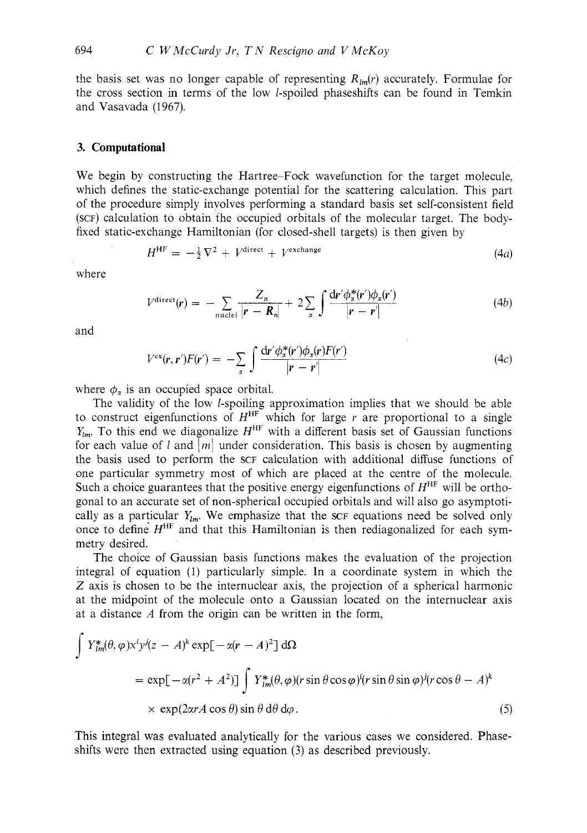the basis set was no longer capable of representing  $R_{lm}(r)$  accurately. Formulae for the cross section in terms of the low l-spoiled phaseshifts can be found in Temkin and Vasavada (1967).

#### **3. Computational**

We begin by constructing the Hartree-Fock wavefunction for the target molecule, which defines the static-exchange potential for the scattering calculation. This part of the procedure simply involves performing a standard basis set self-consistent field (SCF) calculation to obtain the occupied orbitals of the molecular target. The bodyfixed static-exchange Hamiltonian (for closed-shell targets) is then given by

$$
H^{\rm HF} = -\frac{1}{2}\nabla^2 + V^{\text{direct}} + V^{\text{exchange}}
$$
 (4a)

where

$$
V^{\text{direct}}(\mathbf{r}) = -\sum_{\text{nuclei}} \frac{Z_n}{|\mathbf{r} - \mathbf{R}_n|} + 2\sum_{\alpha} \int \frac{\mathrm{d}\mathbf{r}' \phi_{\alpha}^*(\mathbf{r}') \phi_{\alpha}(\mathbf{r}')}{|\mathbf{r} - \mathbf{r}'|} \tag{4b}
$$

and

$$
V^{\text{ex}}(\mathbf{r}, \mathbf{r}')F(\mathbf{r}') = -\sum_{\alpha} \int \frac{\mathrm{d}\mathbf{r}' \phi_{\alpha}^*(\mathbf{r}') \phi_{\alpha}(\mathbf{r}) F(\mathbf{r}')}{|\mathbf{r} - \mathbf{r}'|} \tag{4c}
$$

where  $\phi_{\alpha}$  is an occupied space orbital.

The validity of the low l-spoiling approximation implies that we should be able to construct eigenfunctions of  $H^{\text{HF}}$  which for large r are proportional to a single  $Y_{lm}$ . To this end we diagonalize  $H^{\text{HF}}$  with a different basis set of Gaussian functions for each value of l and  $|m|$  under consideration. This basis is chosen by augmenting the basis used to perform the SCF calculation with additional diffuse functions of one particular symmetry most of which are placed at the centre of the molecule. Such a choice guarantees that the positive energy eigenfunctions of  $H^{\text{HF}}$  will be orthogonal to an accurate set of non-spherical occupied orbitals and will also go asymptotically as a particular  $Y_{lm}$ . We emphasize that the SCF equations need be solved only once to define  $H<sup>HF</sup>$  and that this Hamiltonian is then rediagonalized for each symmetry desired.

The choice of Gaussian basis functions makes the evaluation of the projection integral of equation (1) particularly simple. In a coordinate system in which the *2* axis is chosen to be the internuclear axis, the projection of a spherical harmonic at the midpoint of the molecule onto a Gaussian located on the internuclear axis at a distance *A* from the origin can be written in the form,

$$
\int Y_{lm}^{*}(\theta,\varphi)x^{i}y^{j}(z-A)^{k} \exp[-\alpha(r-A)^{2}] d\Omega
$$
  
=  $\exp[-\alpha(r^{2}+A^{2})] \int Y_{lm}^{*}(\theta,\varphi)(r\sin\theta\cos\varphi)^{i}(r\sin\theta\sin\varphi)^{j}(r\cos\theta-A)^{k}$   
 $\times \exp(2\alpha rA\cos\theta)\sin\theta d\theta d\varphi.$  (5)

This integral was evaluated analytically for the various cases we considered. Phaseshifts were then extracted using equation (3) as described previously.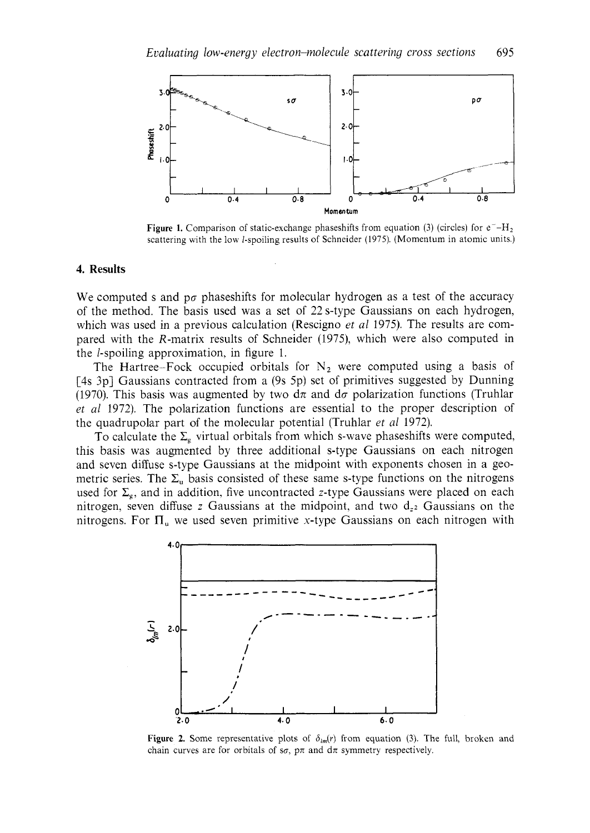

**Figure 1.** Comparison of static-exchange phaseshifts from equation (3) (circles) for  $e^-$ -H<sub>2</sub> scattering with the low l-spoiling results of Schneider (1975). (Momentum in atomic units.)

#### **4. Results**

We computed s and  $p\sigma$  phaseshifts for molecular hydrogen as a test of the accuracy of the method. The basis used was a set of 22s-type Gaussians on each hydrogen, which was used in a previous calculation (Rescigno *et a1* 1975). The results are compared with the R-matrix results of Schneider (1975), which were also computed in the I-spoiling approximation, in figure 1.

The Hartree-Fock occupied orbitals for  $N_2$  were computed using a basis of [4s 3p] Gaussians contracted from a (9s 5p) set of primitives suggested by Dunning (1970). This basis was augmented by two  $d\pi$  and  $d\sigma$  polarization functions (Truhlar *et a1* 1972). The polarization functions are essential to the proper description of the quadrupolar part of the molecular potential (Truhlar *et a1* 1972).

To calculate the  $\Sigma_{\rm e}$  virtual orbitals from which s-wave phaseshifts were computed, this basis was augmented by three additional s-type Gaussians on each nitrogen and seven diffuse s-type Gaussians at the midpoint with exponents chosen in a geometric series. The  $\Sigma_u$  basis consisted of these same s-type functions on the nitrogens used for  $\Sigma_{\rm g}$ , and in addition, five uncontracted z-type Gaussians were placed on each nitrogen, seven diffuse  $z$  Gaussians at the midpoint, and two  $d_{z}$  Gaussians on the nitrogens. For  $\Pi_u$  we used seven primitive x-type Gaussians on each nitrogen with



**Figure 2.** Some representative plots of  $\delta_{lm}(r)$  from equation (3). The full, broken and chain curves are for orbitals of  $s\sigma$ ,  $p\pi$  and  $d\pi$  symmetry respectively.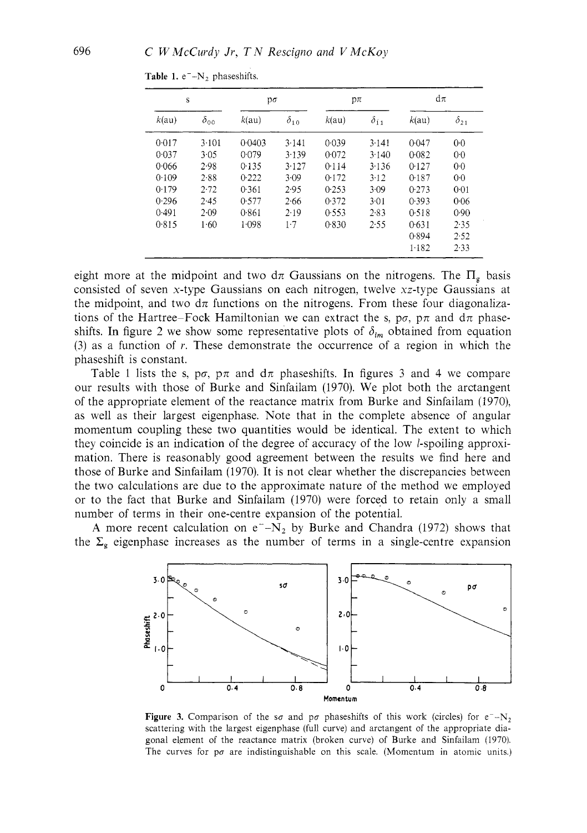| S     |               | pσ     |               | $p\pi$ |               | $d\pi$ |                |
|-------|---------------|--------|---------------|--------|---------------|--------|----------------|
| k(au) | $\delta_{00}$ | k(au)  | $\delta_{10}$ | k(au)  | $\delta_{11}$ | k(au)  | $\delta_{21}$  |
| 0.017 | 3.101         | 0.0403 | 3.141         | 0.039  | 3.141         | 0.047  | 0 <sub>0</sub> |
| 0.037 | 3.05          | 0.079  | 3.139         | 0.072  | 3.140         | 0.082  | 0 <sup>0</sup> |
| 0.066 | 2.98          | 0.135  | 3.127         | 0.114  | 3.136         | 0.127  | 0 <sub>0</sub> |
| 0.109 | 2.88          | 0.222  | 3.09          | 0.172  | 3.12          | 0.187  | 0 <sub>0</sub> |
| 0.179 | 2.72          | 0.361  | 2.95          | 0.253  | 3.09          | 0.273  | 0.01           |
| 0.296 | 2.45          | 0.577  | 2.66          | 0.372  | 3.01          | 0.393  | 0.06           |
| 0.491 | 2.09          | 0.861  | 2.19          | 0.553  | 2.83          | 0.518  | 0.90           |
| 0.815 | 1.60          | 1.098  | 1.7           | 0.830  | 2.55          | 0.631  | 2.35           |
|       |               |        |               |        |               | 0.894  | 2.52           |
|       |               |        |               |        |               | 1.182  | 2.33           |

Table 1. e<sup>-</sup>-N<sub>2</sub> phaseshifts.

eight more at the midpoint and two  $d\pi$  Gaussians on the nitrogens. The  $\Pi_{g}$  basis consisted of seven x-type Gaussians on each nitrogen, twelve xz-type Gaussians at the midpoint, and two  $d\pi$  functions on the nitrogens. From these four diagonalizations of the Hartree-Fock Hamiltonian we can extract the s,  $p\sigma$ ,  $p\pi$  and  $d\pi$  phaseshifts. In figure 2 we show some representative plots of  $\delta_{lm}$  obtained from equation (3) as a function of *r.* These demonstrate the occurrence of a region in which the phaseshift is constant.

Table 1 lists the s,  $p\sigma$ ,  $p\pi$  and  $d\pi$  phaseshifts. In figures 3 and 4 we compare our results with those of Burke and Sinfailam (1970). We plot both the arctangent of the appropriate element of the reactance matrix from Burke and Sinfailam (1970), as well as their largest eigenphase. Note that in the complete absence of angular momentum coupling these two quantities would be identical. The extent to which they coincide is an indication of the degree of accuracy of the low l-spoiling approximation. There is reasonably good agreement between the results we find here and those of Burke and Sinfailam (1970). It is not clear whether the discrepancies between the two calculations are due to the approximate nature of the method we employed or to the fact that Burke and Sinfailam (1970) were forced to retain only a small number of terms in their one-centre expansion of the potential.

A more recent calculation on  $e^- - N_2$  by Burke and Chandra (1972) shows that the  $\Sigma$ <sub>g</sub> eigenphase increases as the number of terms in a single-centre expansion



**Figure 3.** Comparison of the so and po phaseshifts of this work (circles) for  $e^{-1}$ . scattering with the largest eigenphase (full curve) and arctangent of the appropriate diagonal element of the reactance matrix (broken curve) of Burke and Sinfailam (1970). The curves for  $p\sigma$  are indistinguishable on this scale. (Momentum in atomic units.)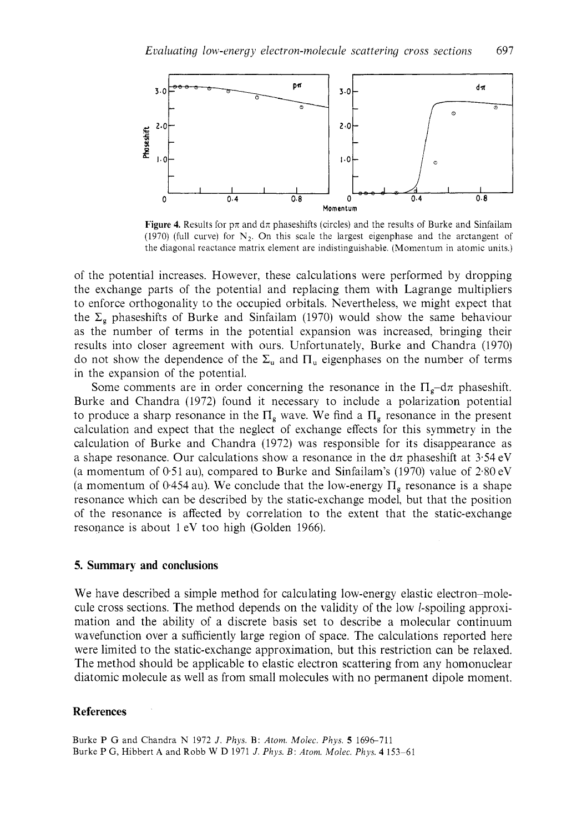

**Figure 4.** Results for  $p\pi$  and  $d\pi$  phaseshifts (circles) and the results of Burke and Sinfailam (1970) (full curve) for  $N<sub>2</sub>$ . On this scale the largest eigenphase and the arctangent of the diagonal reactance matrix element are indistinguishable. (Momentum in atomic units.)

of the potential increases. However, these calculations were performed by dropping the exchange parts of the potential and replacing them with Lagrange multipliers to enforce orthogonality to the occupied orbitals. Nevertheless, we might expect that the  $\Sigma_g$  phaseshifts of Burke and Sinfailam (1970) would show the same behaviour as the number of terms in the potential expansion was increased, bringing their results into closer agreement with ours. Unfortunately, Burke and Chandra (1970) do not show the dependence of the  $\Sigma_u$  and  $\Pi_u$  eigenphases on the number of terms in the expansion of the potential.

Some comments are in order concerning the resonance in the  $\Pi_{\sigma}$ -d $\pi$  phaseshift. Burke and Chandra (1972) found it necessary to include a polarization potential to produce a sharp resonance in the  $\Pi_{g}$  wave. We find a  $\Pi_{g}$  resonance in the present calculation and expect that the neglect of exchange effects for this symmetry in the calculation of Burke and Chandra (1972) was responsible for its disappearance as a shape resonance. Our calculations show a resonance in the  $d\pi$  phaseshift at 3.54 eV (a momentum of  $0.51$  au), compared to Burke and Sinfailam's (1970) value of  $2.80$  eV (a momentum of 0.454 au). We conclude that the low-energy  $\Pi_{\sigma}$  resonance is a shape resonance which can be described by the static-exchange model, but that the position of the resonance is affected by correlation to the extent that the static-exchange resonance is about 1 eV too high (Golden 1966).

# **5. Summary and conclusions**

We have described a simple method for calculating low-energy elastic electron-molecule cross sections. The method depends on the validity of the low 1-spoiling approximation and the ability of a discrete basis set to describe a molecular continuum wavefunction over a sufficiently large region of space. The calculations reported here were limited to the static-exchange approximation, but this restriction can be relaxed. The method should be applicable to elastic electron scattering from any homonuclear diatomic molecule as well as from small molecules with no permanent dipole moment.

### **References**

Burke P G and Chandra N 1972 *J. Phys.* B: *Atom. Molec. Phys. 5* 1696-711 Burke P G, Hibbert **A** and Robb W D 1971 *J. Phys. B: Atom. Molec. Phys.* **4** 153-61